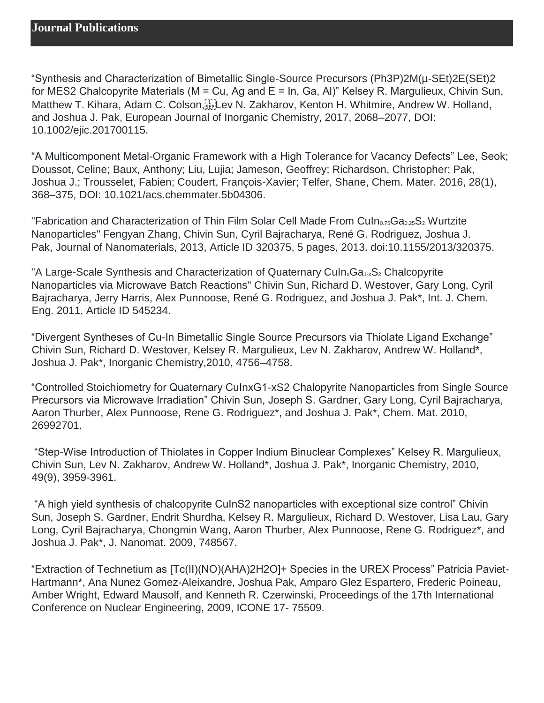"Synthesis and Characterization of Bimetallic Single-Source Precursors (Ph3P)2M(µ-SEt)2E(SEt)2 for MES2 Chalcopyrite Materials (M = Cu, Ag and E = In, Ga, Al)" Kelsey R. Margulieux, Chivin Sun, Matthew T. Kihara, Adam C. Colson, Ellev N. Zakharov, Kenton H. Whitmire, Andrew W. Holland, and Joshua J. Pak, European Journal of Inorganic Chemistry, 2017, 2068–2077, DOI: 10.1002/ejic.201700115.

"A Multicomponent Metal-Organic Framework with a High Tolerance for Vacancy Defects" Lee, Seok; Doussot, Celine; Baux, Anthony; Liu, Lujia; Jameson, Geoffrey; Richardson, Christopher; Pak, Joshua J.; Trousselet, Fabien; Coudert, François-Xavier; Telfer, Shane, Chem. Mater. 2016, 28(1), 368–375, DOI: 10.1021/acs.chemmater.5b04306.

"Fabrication and Characterization of Thin Film Solar Cell Made From Culn<sub>0.75</sub>Ga<sub>0.25</sub>S<sub>2</sub> Wurtzite Nanoparticles" Fengyan Zhang, Chivin Sun, Cyril Bajracharya, René G. Rodriguez, Joshua J. Pak, Journal of Nanomaterials, 2013, Article ID 320375, 5 pages, 2013. doi:10.1155/2013/320375.

"A Large-Scale Synthesis and Characterization of Quaternary Culn<sub>x</sub>Ga<sub>1-x</sub>S<sub>2</sub> Chalcopyrite Nanoparticles via Microwave Batch Reactions" Chivin Sun, Richard D. Westover, Gary Long, Cyril Bajracharya, Jerry Harris, Alex Punnoose, René G. Rodriguez, and Joshua J. Pak\*, Int. J. Chem. Eng. 2011, Article ID 545234.

"Divergent Syntheses of Cu-In Bimetallic Single Source Precursors via Thiolate Ligand Exchange" Chivin Sun, Richard D. Westover, Kelsey R. Margulieux, Lev N. Zakharov, Andrew W. Holland\*, Joshua J. Pak\*, Inorganic Chemistry,2010, 4756–4758.

"Controlled Stoichiometry for Quaternary CuInxG1-xS2 Chalopyrite Nanoparticles from Single Source Precursors via Microwave Irradiation" Chivin Sun, Joseph S. Gardner, Gary Long, Cyril Bajracharya, Aaron Thurber, Alex Punnoose, Rene G. Rodriguez\*, and Joshua J. Pak\*, Chem. Mat. 2010, 26992701.

"Step-Wise Introduction of Thiolates in Copper Indium Binuclear Complexes" Kelsey R. Margulieux, Chivin Sun, Lev N. Zakharov, Andrew W. Holland\*, Joshua J. Pak\*, Inorganic Chemistry, 2010, 49(9), 3959-3961.

"A high yield synthesis of chalcopyrite CuInS2 nanoparticles with exceptional size control" Chivin Sun, Joseph S. Gardner, Endrit Shurdha, Kelsey R. Margulieux, Richard D. Westover, Lisa Lau, Gary Long, Cyril Bajracharya, Chongmin Wang, Aaron Thurber, Alex Punnoose, Rene G. Rodriguez\*, and Joshua J. Pak\*, J. Nanomat. 2009, 748567.

"Extraction of Technetium as [Tc(II)(NO)(AHA)2H2O]+ Species in the UREX Process" Patricia Paviet-Hartmann\*, Ana Nunez Gomez-Aleixandre, Joshua Pak, Amparo Glez Espartero, Frederic Poineau, Amber Wright, Edward Mausolf, and Kenneth R. Czerwinski, Proceedings of the 17th International Conference on Nuclear Engineering, 2009, ICONE 17- 75509.